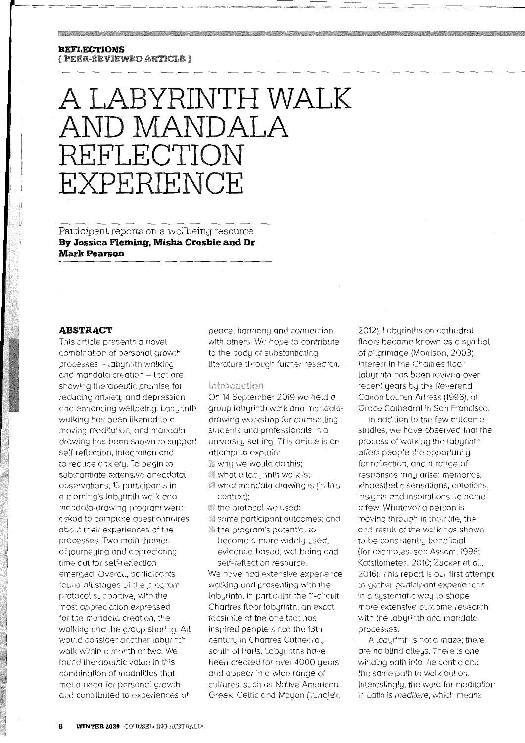# **REFLECTIONS**

{ PEER=REVIEWED ARTICLE }

# **A LABYRINTH WALK AND MANDALA REFLECTION EXPERIENCE**

Participant reports on a wellbeing resource **By Jessica Fleming, Misha Crosbie and Dr Mark Pearson** 

## **ABSTRACT**

This article presents a novel combination of personal growth processes - labyrinth walking and mandala creation - that are showing therapeutic promise for reducing anxiety and depression and enhancing wellbeing. Labyrinth walking has been likened to a moving meditation, and mandala drawing has been shown to support self-reflection, integration and to reduce anxiety. To begin to substantiate extensive anecdotal observations, 13 participants in a morning's labyrinth walk and mandala-drawing program were asked to complete questionnaires about their experiences of the processes. Two main themes of journeying and appreciating time out for self-reflection emerged. Overall, participants found all stages of the program protocol supportive, with the most appreciation expressed for the mandala creation, the walking and the group sharing. All would consider another labyrinth walk within a month or two. We found therapeutic value in this combination of modalities that met a need for personal growth and contributed to experiences of

peace, harmony and connection with others. We hope to contribute to the body of substantiating literature through further research.

## Introduction

On 14 September 2019 we held a group labyrinth walk and mandaladrawing workshop for counselling students and professionals in a university setting. This article is an attempt to explain:

- $\,$  whu we would do this;
- $\ddot{\hspace{0.1cm}}$  what a labyrinth walk is;
- what mandala drawing is (in this context);
- the protocol we used;
- some participant outcomes; and
- the program's potential to become a more widely used, evidence-based, wellbeing and self-reflection resource.

We have had extensive experience walking and presenting with the labyrinth, in particular the 11-circuit Chartres floor labyrinth, an exact facsimile of the one that has inspired people since the 13th century in Chartres Cathedral, south of Paris. Labyrinths have been created for over 4000 years and appear in a wide range of cultures, such as Native American, Greek, Celtic and Mayan (Tunajek,

2012). Labyrinths on cathedral floors became known as a symbol of pilgrimage (Morrison, 2003). Interest in the Chartres floor labyrinth has been revived over recent years by the Reverend Canon Lauren Artress (1996), at Grace Cathedral in San Francisco.

In addition to the few outcome studies, we have observed that the process of walking the labyrinth offers people the opportunity for reflection, and a range of responses may arise: memories, kinaesthetic sensations, emotions, insights and inspirations, to name a few. Whatever a person is moving through in their Life, the end result of the walk has shown to be consistently beneficial (for examples, see Assam, 1998; Katsilometes, 2010; Zucker et al., 2016). This report is our first attempt to gather participant experiences in a systematic way to shape more extensive outcome research with the labyrinth and mandala processes.

A labyrinth is not a maze; there are no blind alleys. There is one winding path into the centre and the same path to walk out on. Interestingly, the word for meditation in Latin is meditere, which means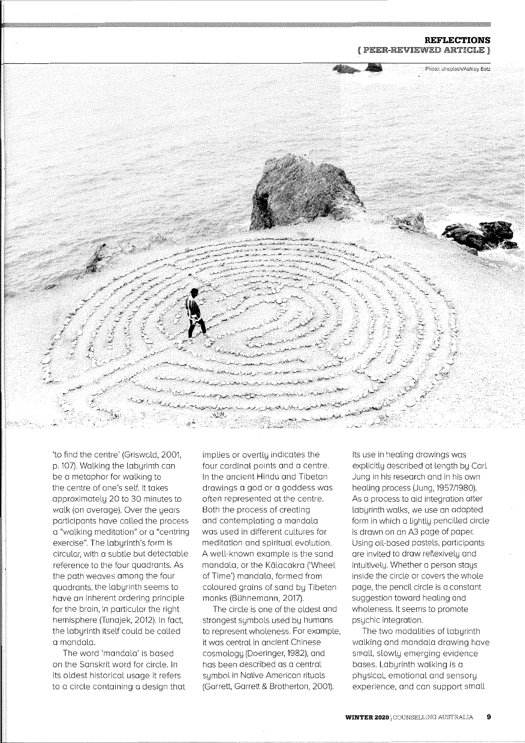#### **REFLECTIONS**  { PEER-REVIEWED ARTICLE }



'to find the centre' (Griswold, 2001, p. 107). Walking the labyrinth can be a metaphor for walking to the centre of one's self. It takes approximately 20 to 30 minutes to walk (on average). Over the years participants have called the process <sup>a</sup>"walking meditation" or a "centring exercise". The labyrinth's form is circular, with a subtle but detectable reference to the four quadrants. As the path weaves among the four quadrants, the labyrinth seems to have an inherent ordering principle for the brain, in particular the right hemisphere (Tunajek, 2012). In fact, the labyrinth itself could be called a mandala.

The word 'mandala' is based on the Sanskrit word for circle. In its oldest historical usage it refers to a circle containing a design that implies or overtly indicates the four cardinal points and a centre. In the ancient Hindu and Tibetan drawings a god or a goddess was often represented at the centre. Both the process of creating and contemplating a mandala was used in different cultures for meditation and spiritual evolution. A well-known example is the sand mandala, or the Kalacakra ('Wheel of Time') mandala, formed from coloured grains of sand by Tibetan monks (Buhnemann, 2017).

The circle is one of the oldest and strongest symbols used by humans to represent wholeness. For example, it was central in ancient Chinese cosmology (Doeringer, 1982), and has been described as a central symbol in Native American rituals (Garrett, Garrett & Brotherton, 2001).

Its use in healing drawings was explicitly described at length by Carl Jung in his research and in his own healing process (Jung, 1957/1980). As a process to aid integration after labyrinth walks, we use an adapted form in which a lightly pencilled circle is drawn on an A3 page of paper. Using oil-based pastels, participants are invited to draw reflexively and intuitively. Whether a person stays inside the circle or covers the whole page, the pencil circle is a constant suggestion toward healing and wholeness. It seems to promote psychic integration.

The two modalities of labyrinth walking and mandala drawing have small, slowly emerging evidence bases. Labyrinth walking is a physical, emotional and sensory experience, and can support small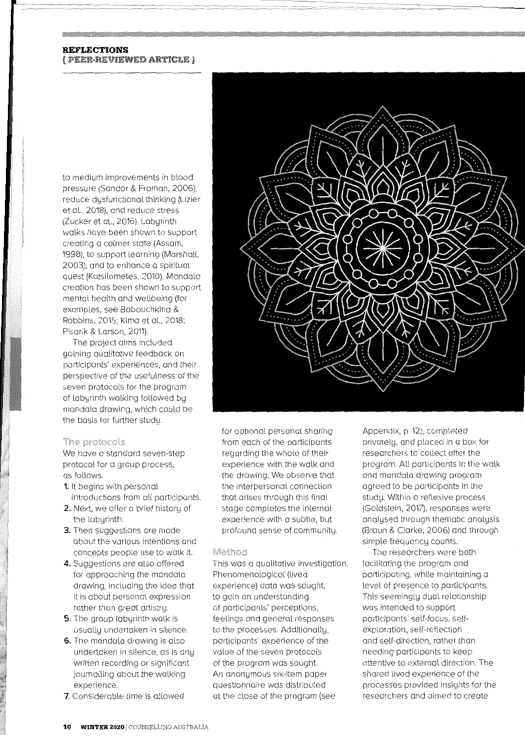## **REFLECTIONS**  { PEER~REVIEWED ARTICLE }

to medium improvements in blood pressure (Sandor & Froman, 2006), reduce dysfunctional thinking (Lizier et al., 2018), and reduce stress (Zucker et al., 2016). Labyrinth walks have been shown to support creating a calmer state (Assam, 1998), to support learning (Marshall, 2003), and to enhance a spiritual quest (Katsilometes, 2010). Mandala creation has been shown to support mental health and wellbeing (for examples, see Babouchkina & Robbins, 2015; Kima et al., 2018; Pisarik & Larson, 2011).

The project aims included gaining qualitative feedback on participants' experiences, and their perspective of the usefulness of the seven protocols for the program of labyrinth walking followed by mandala drawing, which could be the basis for further study.

#### The protocols

We have a standard seven-step protocol for a group process, as follows.

- **1.** It begins with personal introductions from all participants.
- **2.** Next, we offer a brief history of the labyrinth.
- **3.** Then suggestions are made about the various intentions and concepts people use to walk it.
- **4.** Suggestions are also offered for approaching the mandala drawing, including the idea that it is about personal expression rather than great artistry.
- **5.** The group labyrinth walk is usually undertaken in silence.
- **6.** The mandala drawing is also undertaken in silence, as is any written recording or significant journalling about the walking experience.
- **7.** Considerable time is allowed



for optional personal sharing from each of the participants regarding the whole of their experience with the walk and the drawing. We observe that the interpersonal connection that arises through this final stage completes the internal experience with a subtle, but profound sense of community.

#### Method

This was a qualitative investigation. Phenomenological (lived experience) data was sought, to gain an understanding of participants' perceptions, feelings and general responses to the processes. Additionally, participants' experience of the value of the seven protocols of the program was sought. An anonymous six-item paper questionnaire was distributed at the close of the program (see

Appendix, p. 12), completed privately, and placed in a box for researchers to collect after the program. All participants in the walk and mandala drawing program agreed to be participants in the study. Within a reflexive process (Goldstein, 2017), responses were analysed through thematic analysis (Braun & Clarke, 2006) and through simple frequency counts.

The researchers were both facilitating the program and participating, while maintaining a level of presence to participants. This seemingly dual relationship was intended to support participants' self-focus, selfexploration, self-reflection and self-direction, rather than needing participants to keep attentive to external direction. The shared lived experience of the processes provided insights for the researchers and aimed to create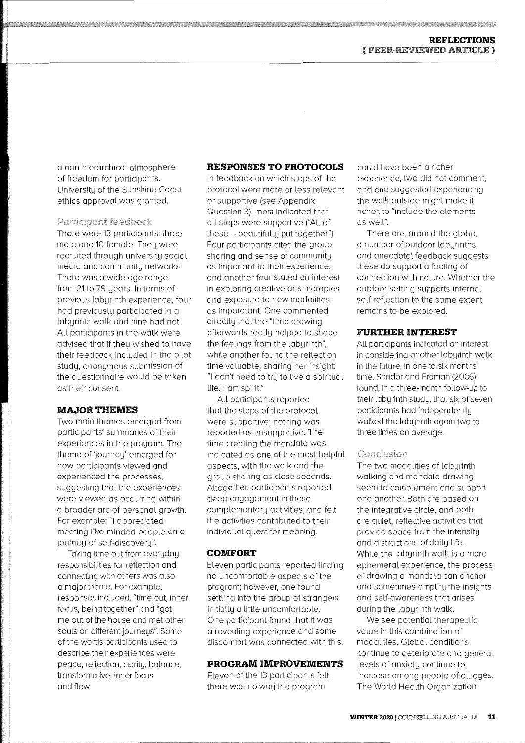a non-hierarchical atmosphere of freedom for participants. University of the Sunshine Coast ethics approval was granted.

## Participant feedback

There were 13 participants: three male and 10 female. They were recruited through university social media and community networks. There was a wide age range, from 21 to 79 years. In terms of previous labyrinth experience, four had previously participated in a labyrinth walk and nine had not. All participants in the walk were advised that if they wished to have their feedback included in the pilot study, anonymous submission of the questionnaire would be taken as their consent.

## **MAJOR THEMES**

Two main themes emerged from participants' summaries of their experiences in the program. The theme of 'journey' emerged for how participants viewed and experienced the processes, suggesting that the experiences were viewed as occurring within a broader arc of personal growth. For example: "I appreciated meeting like-minded people on a journey of self-discovery".

Taking time out from everyday responsibilities for reflection and connecting with others was also a major theme. For example, responses included, "time out, inner focus, being together" and "got me out of the house and met other souls on different journeys". Some of the words participants used to describe their experiences were peace, reflection, clarity, balance, transformative, inner focus and flow.

## **RESPONSES TO PROTOCOLS**

In feedback on which steps of the protocol were more or less relevant or supportive (see Appendix Question 3), most indicated that all steps were supportive ("All of these  $-$  beautifully put together"). Four participants cited the group sharing and sense of community as important to their experience, and another four stated an interest in exploring creative arts therapies and exposure to new modalities as imporatant. One commented directly that the "time drawing afterwards really helped to shape the feelings from the labyrinth", while another found the reflection time valuable, sharing her insight: "I don't need to try to live a spiritual life. I am spirit."

All participants reported that the steps of the protocol were supportive; nothing was reported as unsupportive. The time creating the mandala was indicated as one of the most helpful aspects, with the walk and the group sharing as close seconds. Altogether, participants reported deep engagement in these complementary activities, and felt the activities contributed to their individual quest for meaning.

#### **COMFORT**

Eleven participants reported finding no uncomfortable aspects of the program; however, one found settling into the group of strangers initially a little uncomfortable. One participant found that it was a revealing experience and some discomfort was connected with this.

## **PROGRAM IMPROVEMENTS**

Eleven of the 13 participants felt there was no way the program

could have been a richer experience, two did not comment, and one suggested experiencing the walk outside might make it richer, to "include the elements as well".

There are, around the globe, a number of outdoor labyrinths, and anecdotal feedback suggests these do support a feeling of connection with nature. Whether the outdoor setting supports internal self-reflection to the same extent remains to be explored.

## **FURTHER INTEREST**

All participants indicated an interest in considering another labyrinth walk in the future, in one to six months' time. Sandor and Froman (2006) found, in a three-month follow-up to their labyrinth study, that six of seven participants had independently walked the labyrinth again two to three times on average.

#### Conclusion

The two modalities of labyrinth walking and mandala drawing seem to complement and support one another. Both are based on the integrative circle, and both are quiet, reflective activities that provide space from the intensity and distractions of daily life. While the labyrinth walk is a more ephemeral experience, the process of drawing a mandala can anchor and sometimes amplify the insights and self-awareness that arises during the labyrinth walk.

We see potential therapeutic value in this combination of modalities. Global conditions continue to deteriorate and general levels of anxiety continue to increase among people of all ages. The World Health Organization